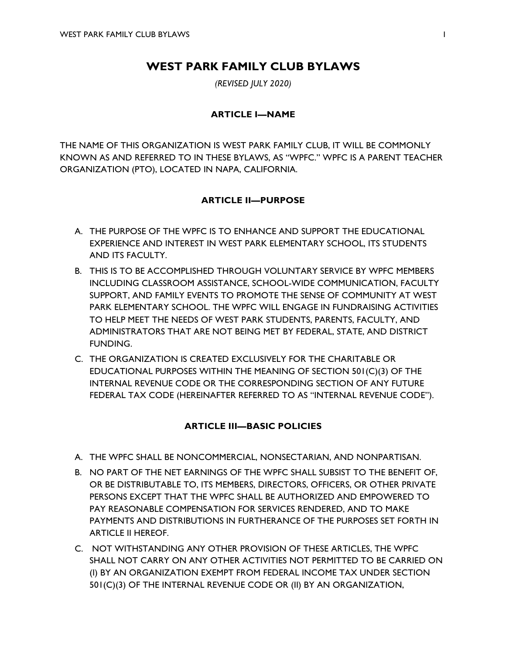# **WEST PARK FAMILY CLUB BYLAWS**

*(REVISED JULY 2020)*

#### **ARTICLE I—NAME**

THE NAME OF THIS ORGANIZATION IS WEST PARK FAMILY CLUB, IT WILL BE COMMONLY KNOWN AS AND REFERRED TO IN THESE BYLAWS, AS "WPFC." WPFC IS A PARENT TEACHER ORGANIZATION (PTO), LOCATED IN NAPA, CALIFORNIA.

### **ARTICLE II—PURPOSE**

- A. THE PURPOSE OF THE WPFC IS TO ENHANCE AND SUPPORT THE EDUCATIONAL EXPERIENCE AND INTEREST IN WEST PARK ELEMENTARY SCHOOL, ITS STUDENTS AND ITS FACULTY.
- B. THIS IS TO BE ACCOMPLISHED THROUGH VOLUNTARY SERVICE BY WPFC MEMBERS INCLUDING CLASSROOM ASSISTANCE, SCHOOL-WIDE COMMUNICATION, FACULTY SUPPORT, AND FAMILY EVENTS TO PROMOTE THE SENSE OF COMMUNITY AT WEST PARK ELEMENTARY SCHOOL. THE WPFC WILL ENGAGE IN FUNDRAISING ACTIVITIES TO HELP MEET THE NEEDS OF WEST PARK STUDENTS, PARENTS, FACULTY, AND ADMINISTRATORS THAT ARE NOT BEING MET BY FEDERAL, STATE, AND DISTRICT FUNDING.
- C. THE ORGANIZATION IS CREATED EXCLUSIVELY FOR THE CHARITABLE OR EDUCATIONAL PURPOSES WITHIN THE MEANING OF SECTION 501(C)(3) OF THE INTERNAL REVENUE CODE OR THE CORRESPONDING SECTION OF ANY FUTURE FEDERAL TAX CODE (HEREINAFTER REFERRED TO AS "INTERNAL REVENUE CODE").

#### **ARTICLE III—BASIC POLICIES**

- A. THE WPFC SHALL BE NONCOMMERCIAL, NONSECTARIAN, AND NONPARTISAN.
- B. NO PART OF THE NET EARNINGS OF THE WPFC SHALL SUBSIST TO THE BENEFIT OF, OR BE DISTRIBUTABLE TO, ITS MEMBERS, DIRECTORS, OFFICERS, OR OTHER PRIVATE PERSONS EXCEPT THAT THE WPFC SHALL BE AUTHORIZED AND EMPOWERED TO PAY REASONABLE COMPENSATION FOR SERVICES RENDERED, AND TO MAKE PAYMENTS AND DISTRIBUTIONS IN FURTHERANCE OF THE PURPOSES SET FORTH IN ARTICLE II HEREOF.
- C. NOT WITHSTANDING ANY OTHER PROVISION OF THESE ARTICLES, THE WPFC SHALL NOT CARRY ON ANY OTHER ACTIVITIES NOT PERMITTED TO BE CARRIED ON (I) BY AN ORGANIZATION EXEMPT FROM FEDERAL INCOME TAX UNDER SECTION 501(C)(3) OF THE INTERNAL REVENUE CODE OR (II) BY AN ORGANIZATION,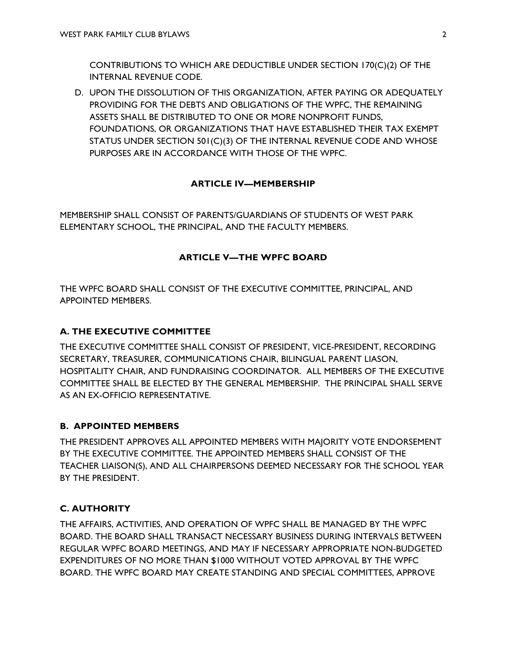CONTRIBUTIONS TO WHICH ARE DEDUCTIBLE UNDER SECTION 170(C)(2) OF THE INTERNAL REVENUE CODE.

D. UPON THE DISSOLUTION OF THIS ORGANIZATION, AFTER PAYING OR ADEQUATELY PROVIDING FOR THE DEBTS AND OBLIGATIONS OF THE WPFC, THE REMAINING ASSETS SHALL BE DISTRIBUTED TO ONE OR MORE NONPROFIT FUNDS, FOUNDATIONS, OR ORGANIZATIONS THAT HAVE ESTABLISHED THEIR TAX EXEMPT STATUS UNDER SECTION 501(C)(3) OF THE INTERNAL REVENUE CODE AND WHOSE PURPOSES ARE IN ACCORDANCE WITH THOSE OF THE WPFC.

## **ARTICLE IV—MEMBERSHIP**

MEMBERSHIP SHALL CONSIST OF PARENTS/GUARDIANS OF STUDENTS OF WEST PARK ELEMENTARY SCHOOL, THE PRINCIPAL, AND THE FACULTY MEMBERS.

### **ARTICLE V—THE WPFC BOARD**

THE WPFC BOARD SHALL CONSIST OF THE EXECUTIVE COMMITTEE, PRINCIPAL, AND APPOINTED MEMBERS.

## **A. THE EXECUTIVE COMMITTEE**

THE EXECUTIVE COMMITTEE SHALL CONSIST OF PRESIDENT, VICE-PRESIDENT, RECORDING SECRETARY, TREASURER, COMMUNICATIONS CHAIR, BILINGUAL PARENT LIASON, HOSPITALITY CHAIR, AND FUNDRAISING COORDINATOR. ALL MEMBERS OF THE EXECUTIVE COMMITTEE SHALL BE ELECTED BY THE GENERAL MEMBERSHIP. THE PRINCIPAL SHALL SERVE AS AN EX-OFFICIO REPRESENTATIVE.

## **B. APPOINTED MEMBERS**

THE PRESIDENT APPROVES ALL APPOINTED MEMBERS WITH MAJORITY VOTE ENDORSEMENT BY THE EXECUTIVE COMMITTEE. THE APPOINTED MEMBERS SHALL CONSIST OF THE TEACHER LIAISON(S), AND ALL CHAIRPERSONS DEEMED NECESSARY FOR THE SCHOOL YEAR BY THE PRESIDENT.

## **C. AUTHORITY**

THE AFFAIRS, ACTIVITIES, AND OPERATION OF WPFC SHALL BE MANAGED BY THE WPFC BOARD. THE BOARD SHALL TRANSACT NECESSARY BUSINESS DURING INTERVALS BETWEEN REGULAR WPFC BOARD MEETINGS, AND MAY IF NECESSARY APPROPRIATE NON-BUDGETED EXPENDITURES OF NO MORE THAN \$1000 WITHOUT VOTED APPROVAL BY THE WPFC BOARD. THE WPFC BOARD MAY CREATE STANDING AND SPECIAL COMMITTEES, APPROVE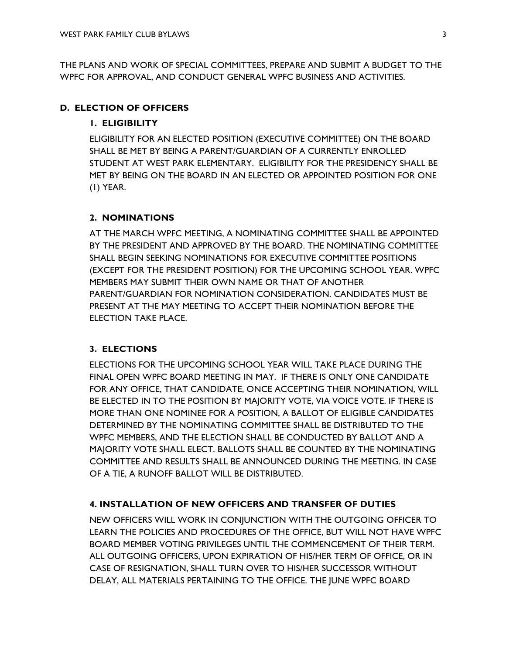THE PLANS AND WORK OF SPECIAL COMMITTEES, PREPARE AND SUBMIT A BUDGET TO THE WPFC FOR APPROVAL, AND CONDUCT GENERAL WPFC BUSINESS AND ACTIVITIES.

#### **D. ELECTION OF OFFICERS**

### **1. ELIGIBILITY**

ELIGIBILITY FOR AN ELECTED POSITION (EXECUTIVE COMMITTEE) ON THE BOARD SHALL BE MET BY BEING A PARENT/GUARDIAN OF A CURRENTLY ENROLLED STUDENT AT WEST PARK ELEMENTARY. ELIGIBILITY FOR THE PRESIDENCY SHALL BE MET BY BEING ON THE BOARD IN AN ELECTED OR APPOINTED POSITION FOR ONE (1) YEAR.

### **2. NOMINATIONS**

AT THE MARCH WPFC MEETING, A NOMINATING COMMITTEE SHALL BE APPOINTED BY THE PRESIDENT AND APPROVED BY THE BOARD. THE NOMINATING COMMITTEE SHALL BEGIN SEEKING NOMINATIONS FOR EXECUTIVE COMMITTEE POSITIONS (EXCEPT FOR THE PRESIDENT POSITION) FOR THE UPCOMING SCHOOL YEAR. WPFC MEMBERS MAY SUBMIT THEIR OWN NAME OR THAT OF ANOTHER PARENT/GUARDIAN FOR NOMINATION CONSIDERATION. CANDIDATES MUST BE PRESENT AT THE MAY MEETING TO ACCEPT THEIR NOMINATION BEFORE THE ELECTION TAKE PLACE.

### **3. ELECTIONS**

ELECTIONS FOR THE UPCOMING SCHOOL YEAR WILL TAKE PLACE DURING THE FINAL OPEN WPFC BOARD MEETING IN MAY. IF THERE IS ONLY ONE CANDIDATE FOR ANY OFFICE, THAT CANDIDATE, ONCE ACCEPTING THEIR NOMINATION, WILL BE ELECTED IN TO THE POSITION BY MAJORITY VOTE, VIA VOICE VOTE. IF THERE IS MORE THAN ONE NOMINEE FOR A POSITION, A BALLOT OF ELIGIBLE CANDIDATES DETERMINED BY THE NOMINATING COMMITTEE SHALL BE DISTRIBUTED TO THE WPFC MEMBERS, AND THE ELECTION SHALL BE CONDUCTED BY BALLOT AND A MAJORITY VOTE SHALL ELECT. BALLOTS SHALL BE COUNTED BY THE NOMINATING COMMITTEE AND RESULTS SHALL BE ANNOUNCED DURING THE MEETING. IN CASE OF A TIE, A RUNOFF BALLOT WILL BE DISTRIBUTED.

### **4. INSTALLATION OF NEW OFFICERS AND TRANSFER OF DUTIES**

NEW OFFICERS WILL WORK IN CONJUNCTION WITH THE OUTGOING OFFICER TO LEARN THE POLICIES AND PROCEDURES OF THE OFFICE, BUT WILL NOT HAVE WPFC BOARD MEMBER VOTING PRIVILEGES UNTIL THE COMMENCEMENT OF THEIR TERM. ALL OUTGOING OFFICERS, UPON EXPIRATION OF HIS/HER TERM OF OFFICE, OR IN CASE OF RESIGNATION, SHALL TURN OVER TO HIS/HER SUCCESSOR WITHOUT DELAY, ALL MATERIALS PERTAINING TO THE OFFICE. THE JUNE WPFC BOARD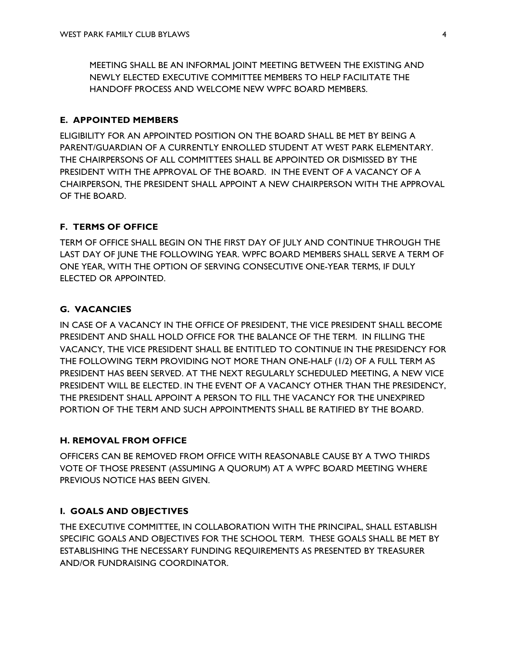MEETING SHALL BE AN INFORMAL JOINT MEETING BETWEEN THE EXISTING AND NEWLY ELECTED EXECUTIVE COMMITTEE MEMBERS TO HELP FACILITATE THE HANDOFF PROCESS AND WELCOME NEW WPFC BOARD MEMBERS.

#### **E. APPOINTED MEMBERS**

ELIGIBILITY FOR AN APPOINTED POSITION ON THE BOARD SHALL BE MET BY BEING A PARENT/GUARDIAN OF A CURRENTLY ENROLLED STUDENT AT WEST PARK ELEMENTARY. THE CHAIRPERSONS OF ALL COMMITTEES SHALL BE APPOINTED OR DISMISSED BY THE PRESIDENT WITH THE APPROVAL OF THE BOARD. IN THE EVENT OF A VACANCY OF A CHAIRPERSON, THE PRESIDENT SHALL APPOINT A NEW CHAIRPERSON WITH THE APPROVAL OF THE BOARD.

### **F. TERMS OF OFFICE**

TERM OF OFFICE SHALL BEGIN ON THE FIRST DAY OF JULY AND CONTINUE THROUGH THE LAST DAY OF JUNE THE FOLLOWING YEAR. WPFC BOARD MEMBERS SHALL SERVE A TERM OF ONE YEAR, WITH THE OPTION OF SERVING CONSECUTIVE ONE-YEAR TERMS, IF DULY ELECTED OR APPOINTED.

#### **G. VACANCIES**

IN CASE OF A VACANCY IN THE OFFICE OF PRESIDENT, THE VICE PRESIDENT SHALL BECOME PRESIDENT AND SHALL HOLD OFFICE FOR THE BALANCE OF THE TERM. IN FILLING THE VACANCY, THE VICE PRESIDENT SHALL BE ENTITLED TO CONTINUE IN THE PRESIDENCY FOR THE FOLLOWING TERM PROVIDING NOT MORE THAN ONE-HALF (1/2) OF A FULL TERM AS PRESIDENT HAS BEEN SERVED. AT THE NEXT REGULARLY SCHEDULED MEETING, A NEW VICE PRESIDENT WILL BE ELECTED. IN THE EVENT OF A VACANCY OTHER THAN THE PRESIDENCY, THE PRESIDENT SHALL APPOINT A PERSON TO FILL THE VACANCY FOR THE UNEXPIRED PORTION OF THE TERM AND SUCH APPOINTMENTS SHALL BE RATIFIED BY THE BOARD.

### **H. REMOVAL FROM OFFICE**

OFFICERS CAN BE REMOVED FROM OFFICE WITH REASONABLE CAUSE BY A TWO THIRDS VOTE OF THOSE PRESENT (ASSUMING A QUORUM) AT A WPFC BOARD MEETING WHERE PREVIOUS NOTICE HAS BEEN GIVEN.

#### **I. GOALS AND OBJECTIVES**

THE EXECUTIVE COMMITTEE, IN COLLABORATION WITH THE PRINCIPAL, SHALL ESTABLISH SPECIFIC GOALS AND OBJECTIVES FOR THE SCHOOL TERM. THESE GOALS SHALL BE MET BY ESTABLISHING THE NECESSARY FUNDING REQUIREMENTS AS PRESENTED BY TREASURER AND/OR FUNDRAISING COORDINATOR.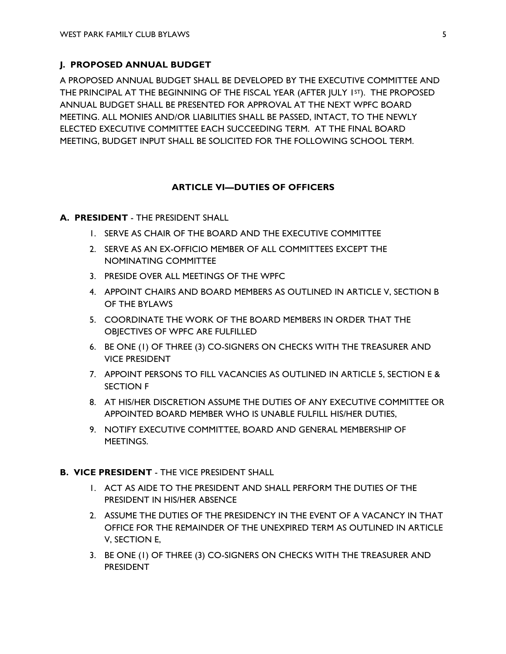## **J. PROPOSED ANNUAL BUDGET**

A PROPOSED ANNUAL BUDGET SHALL BE DEVELOPED BY THE EXECUTIVE COMMITTEE AND THE PRINCIPAL AT THE BEGINNING OF THE FISCAL YEAR (AFTER JULY 1ST). THE PROPOSED ANNUAL BUDGET SHALL BE PRESENTED FOR APPROVAL AT THE NEXT WPFC BOARD MEETING. ALL MONIES AND/OR LIABILITIES SHALL BE PASSED, INTACT, TO THE NEWLY ELECTED EXECUTIVE COMMITTEE EACH SUCCEEDING TERM. AT THE FINAL BOARD MEETING, BUDGET INPUT SHALL BE SOLICITED FOR THE FOLLOWING SCHOOL TERM.

## **ARTICLE VI—DUTIES OF OFFICERS**

### **A. PRESIDENT** - THE PRESIDENT SHALL

- 1. SERVE AS CHAIR OF THE BOARD AND THE EXECUTIVE COMMITTEE
- 2. SERVE AS AN EX-OFFICIO MEMBER OF ALL COMMITTEES EXCEPT THE NOMINATING COMMITTEE
- 3. PRESIDE OVER ALL MEETINGS OF THE WPFC
- 4. APPOINT CHAIRS AND BOARD MEMBERS AS OUTLINED IN ARTICLE V, SECTION B OF THE BYLAWS
- 5. COORDINATE THE WORK OF THE BOARD MEMBERS IN ORDER THAT THE OBJECTIVES OF WPFC ARE FULFILLED
- 6. BE ONE (1) OF THREE (3) CO-SIGNERS ON CHECKS WITH THE TREASURER AND VICE PRESIDENT
- 7. APPOINT PERSONS TO FILL VACANCIES AS OUTLINED IN ARTICLE 5, SECTION E & SECTION F
- 8. AT HIS/HER DISCRETION ASSUME THE DUTIES OF ANY EXECUTIVE COMMITTEE OR APPOINTED BOARD MEMBER WHO IS UNABLE FULFILL HIS/HER DUTIES,
- 9. NOTIFY EXECUTIVE COMMITTEE, BOARD AND GENERAL MEMBERSHIP OF MEETINGS.

## **B. VICE PRESIDENT** - THE VICE PRESIDENT SHALL

- 1. ACT AS AIDE TO THE PRESIDENT AND SHALL PERFORM THE DUTIES OF THE PRESIDENT IN HIS/HER ABSENCE
- 2. ASSUME THE DUTIES OF THE PRESIDENCY IN THE EVENT OF A VACANCY IN THAT OFFICE FOR THE REMAINDER OF THE UNEXPIRED TERM AS OUTLINED IN ARTICLE V, SECTION E,
- 3. BE ONE (1) OF THREE (3) CO-SIGNERS ON CHECKS WITH THE TREASURER AND PRESIDENT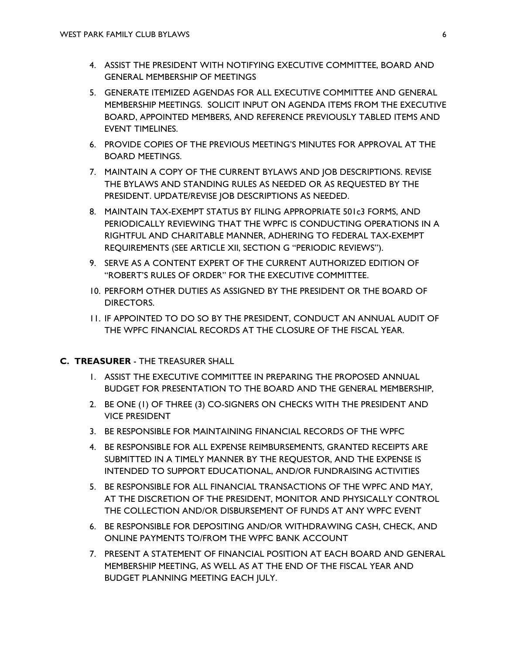- 4. ASSIST THE PRESIDENT WITH NOTIFYING EXECUTIVE COMMITTEE, BOARD AND GENERAL MEMBERSHIP OF MEETINGS
- 5. GENERATE ITEMIZED AGENDAS FOR ALL EXECUTIVE COMMITTEE AND GENERAL MEMBERSHIP MEETINGS. SOLICIT INPUT ON AGENDA ITEMS FROM THE EXECUTIVE BOARD, APPOINTED MEMBERS, AND REFERENCE PREVIOUSLY TABLED ITEMS AND EVENT TIMELINES.
- 6. PROVIDE COPIES OF THE PREVIOUS MEETING'S MINUTES FOR APPROVAL AT THE BOARD MEETINGS.
- 7. MAINTAIN A COPY OF THE CURRENT BYLAWS AND JOB DESCRIPTIONS. REVISE THE BYLAWS AND STANDING RULES AS NEEDED OR AS REQUESTED BY THE PRESIDENT. UPDATE/REVISE JOB DESCRIPTIONS AS NEEDED.
- 8. MAINTAIN TAX-EXEMPT STATUS BY FILING APPROPRIATE 501c3 FORMS, AND PERIODICALLY REVIEWING THAT THE WPFC IS CONDUCTING OPERATIONS IN A RIGHTFUL AND CHARITABLE MANNER, ADHERING TO FEDERAL TAX-EXEMPT REQUIREMENTS (SEE ARTICLE XII, SECTION G "PERIODIC REVIEWS").
- 9. SERVE AS A CONTENT EXPERT OF THE CURRENT AUTHORIZED EDITION OF "ROBERT'S RULES OF ORDER" FOR THE EXECUTIVE COMMITTEE.
- 10. PERFORM OTHER DUTIES AS ASSIGNED BY THE PRESIDENT OR THE BOARD OF DIRECTORS.
- 11. IF APPOINTED TO DO SO BY THE PRESIDENT, CONDUCT AN ANNUAL AUDIT OF THE WPFC FINANCIAL RECORDS AT THE CLOSURE OF THE FISCAL YEAR.
- **C. TREASURER** THE TREASURER SHALL
	- 1. ASSIST THE EXECUTIVE COMMITTEE IN PREPARING THE PROPOSED ANNUAL BUDGET FOR PRESENTATION TO THE BOARD AND THE GENERAL MEMBERSHIP,
	- 2. BE ONE (1) OF THREE (3) CO-SIGNERS ON CHECKS WITH THE PRESIDENT AND VICE PRESIDENT
	- 3. BE RESPONSIBLE FOR MAINTAINING FINANCIAL RECORDS OF THE WPFC
	- 4. BE RESPONSIBLE FOR ALL EXPENSE REIMBURSEMENTS, GRANTED RECEIPTS ARE SUBMITTED IN A TIMELY MANNER BY THE REQUESTOR, AND THE EXPENSE IS INTENDED TO SUPPORT EDUCATIONAL, AND/OR FUNDRAISING ACTIVITIES
	- 5. BE RESPONSIBLE FOR ALL FINANCIAL TRANSACTIONS OF THE WPFC AND MAY, AT THE DISCRETION OF THE PRESIDENT, MONITOR AND PHYSICALLY CONTROL THE COLLECTION AND/OR DISBURSEMENT OF FUNDS AT ANY WPFC EVENT
	- 6. BE RESPONSIBLE FOR DEPOSITING AND/OR WITHDRAWING CASH, CHECK, AND ONLINE PAYMENTS TO/FROM THE WPFC BANK ACCOUNT
	- 7. PRESENT A STATEMENT OF FINANCIAL POSITION AT EACH BOARD AND GENERAL MEMBERSHIP MEETING, AS WELL AS AT THE END OF THE FISCAL YEAR AND BUDGET PLANNING MEETING EACH JULY.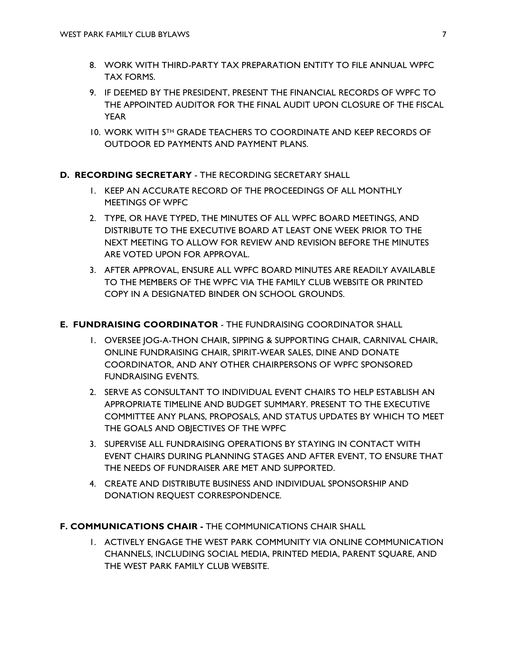- 8. WORK WITH THIRD-PARTY TAX PREPARATION ENTITY TO FILE ANNUAL WPFC TAX FORMS.
- 9. IF DEEMED BY THE PRESIDENT, PRESENT THE FINANCIAL RECORDS OF WPFC TO THE APPOINTED AUDITOR FOR THE FINAL AUDIT UPON CLOSURE OF THE FISCAL YEAR
- 10. WORK WITH 5TH GRADE TEACHERS TO COORDINATE AND KEEP RECORDS OF OUTDOOR ED PAYMENTS AND PAYMENT PLANS.

### **D. RECORDING SECRETARY** - THE RECORDING SECRETARY SHALL

- 1. KEEP AN ACCURATE RECORD OF THE PROCEEDINGS OF ALL MONTHLY MEETINGS OF WPFC
- 2. TYPE, OR HAVE TYPED, THE MINUTES OF ALL WPFC BOARD MEETINGS, AND DISTRIBUTE TO THE EXECUTIVE BOARD AT LEAST ONE WEEK PRIOR TO THE NEXT MEETING TO ALLOW FOR REVIEW AND REVISION BEFORE THE MINUTES ARE VOTED UPON FOR APPROVAL.
- 3. AFTER APPROVAL, ENSURE ALL WPFC BOARD MINUTES ARE READILY AVAILABLE TO THE MEMBERS OF THE WPFC VIA THE FAMILY CLUB WEBSITE OR PRINTED COPY IN A DESIGNATED BINDER ON SCHOOL GROUNDS.

#### **E. FUNDRAISING COORDINATOR** - THE FUNDRAISING COORDINATOR SHALL

- 1. OVERSEE JOG-A-THON CHAIR, SIPPING & SUPPORTING CHAIR, CARNIVAL CHAIR, ONLINE FUNDRAISING CHAIR, SPIRIT-WEAR SALES, DINE AND DONATE COORDINATOR, AND ANY OTHER CHAIRPERSONS OF WPFC SPONSORED FUNDRAISING EVENTS.
- 2. SERVE AS CONSULTANT TO INDIVIDUAL EVENT CHAIRS TO HELP ESTABLISH AN APPROPRIATE TIMELINE AND BUDGET SUMMARY. PRESENT TO THE EXECUTIVE COMMITTEE ANY PLANS, PROPOSALS, AND STATUS UPDATES BY WHICH TO MEET THE GOALS AND OBJECTIVES OF THE WPFC
- 3. SUPERVISE ALL FUNDRAISING OPERATIONS BY STAYING IN CONTACT WITH EVENT CHAIRS DURING PLANNING STAGES AND AFTER EVENT, TO ENSURE THAT THE NEEDS OF FUNDRAISER ARE MET AND SUPPORTED.
- 4. CREATE AND DISTRIBUTE BUSINESS AND INDIVIDUAL SPONSORSHIP AND DONATION REQUEST CORRESPONDENCE.

#### **F. COMMUNICATIONS CHAIR -** THE COMMUNICATIONS CHAIR SHALL

1. ACTIVELY ENGAGE THE WEST PARK COMMUNITY VIA ONLINE COMMUNICATION CHANNELS, INCLUDING SOCIAL MEDIA, PRINTED MEDIA, PARENT SQUARE, AND THE WEST PARK FAMILY CLUB WEBSITE.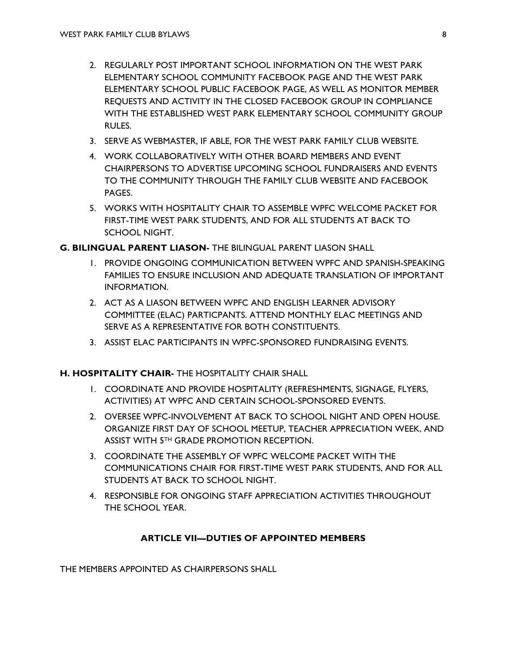- 2. REGULARLY POST IMPORTANT SCHOOL INFORMATION ON THE WEST PARK ELEMENTARY SCHOOL COMMUNITY FACEBOOK PAGE AND THE WEST PARK ELEMENTARY SCHOOL PUBLIC FACEBOOK PAGE, AS WELL AS MONITOR MEMBER REQUESTS AND ACTIVITY IN THE CLOSED FACEBOOK GROUP IN COMPLIANCE WITH THE ESTABLISHED WEST PARK ELEMENTARY SCHOOL COMMUNITY GROUP RULES.
- 3. SERVE AS WEBMASTER, IF ABLE, FOR THE WEST PARK FAMILY CLUB WEBSITE.
- 4. WORK COLLABORATIVELY WITH OTHER BOARD MEMBERS AND EVENT CHAIRPERSONS TO ADVERTISE UPCOMING SCHOOL FUNDRAISERS AND EVENTS TO THE COMMUNITY THROUGH THE FAMILY CLUB WEBSITE AND FACEBOOK PAGES.
- 5. WORKS WITH HOSPITALITY CHAIR TO ASSEMBLE WPFC WELCOME PACKET FOR FIRST-TIME WEST PARK STUDENTS, AND FOR ALL STUDENTS AT BACK TO SCHOOL NIGHT.

## **G. BILINGUAL PARENT LIASON-** THE BILINGUAL PARENT LIASON SHALL

- 1. PROVIDE ONGOING COMMUNICATION BETWEEN WPFC AND SPANISH-SPEAKING FAMILIES TO ENSURE INCLUSION AND ADEQUATE TRANSLATION OF IMPORTANT INFORMATION.
- 2. ACT AS A LIASON BETWEEN WPFC AND ENGLISH LEARNER ADVISORY COMMITTEE (ELAC) PARTICPANTS. ATTEND MONTHLY ELAC MEETINGS AND SERVE AS A REPRESENTATIVE FOR BOTH CONSTITUENTS.
- 3. ASSIST ELAC PARTICIPANTS IN WPFC-SPONSORED FUNDRAISING EVENTS.

# **H. HOSPITALITY CHAIR-** THE HOSPITALITY CHAIR SHALL

- 1. COORDINATE AND PROVIDE HOSPITALITY (REFRESHMENTS, SIGNAGE, FLYERS, ACTIVITIES) AT WPFC AND CERTAIN SCHOOL-SPONSORED EVENTS.
- 2. OVERSEE WPFC-INVOLVEMENT AT BACK TO SCHOOL NIGHT AND OPEN HOUSE. ORGANIZE FIRST DAY OF SCHOOL MEETUP, TEACHER APPRECIATION WEEK, AND ASSIST WITH 5TH GRADE PROMOTION RECEPTION.
- 3. COORDINATE THE ASSEMBLY OF WPFC WELCOME PACKET WITH THE COMMUNICATIONS CHAIR FOR FIRST-TIME WEST PARK STUDENTS, AND FOR ALL STUDENTS AT BACK TO SCHOOL NIGHT.
- 4. RESPONSIBLE FOR ONGOING STAFF APPRECIATION ACTIVITIES THROUGHOUT THE SCHOOL YEAR.

# **ARTICLE VII—DUTIES OF APPOINTED MEMBERS**

THE MEMBERS APPOINTED AS CHAIRPERSONS SHALL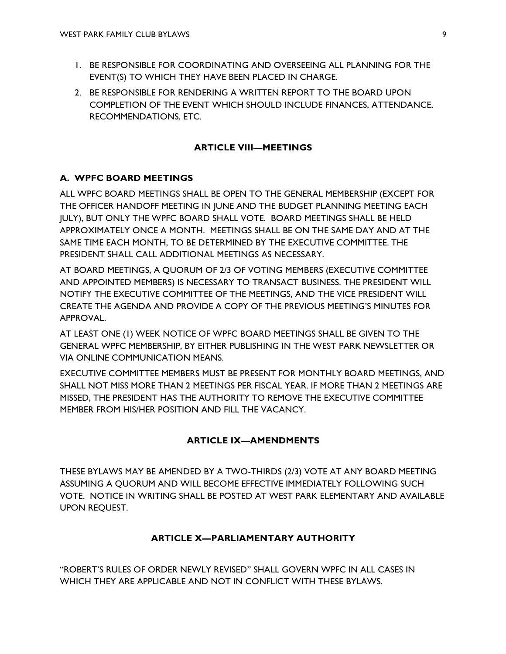- 1. BE RESPONSIBLE FOR COORDINATING AND OVERSEEING ALL PLANNING FOR THE EVENT(S) TO WHICH THEY HAVE BEEN PLACED IN CHARGE.
- 2. BE RESPONSIBLE FOR RENDERING A WRITTEN REPORT TO THE BOARD UPON COMPLETION OF THE EVENT WHICH SHOULD INCLUDE FINANCES, ATTENDANCE, RECOMMENDATIONS, ETC.

### **ARTICLE VIII—MEETINGS**

### **A. WPFC BOARD MEETINGS**

ALL WPFC BOARD MEETINGS SHALL BE OPEN TO THE GENERAL MEMBERSHIP (EXCEPT FOR THE OFFICER HANDOFF MEETING IN JUNE AND THE BUDGET PLANNING MEETING EACH JULY), BUT ONLY THE WPFC BOARD SHALL VOTE. BOARD MEETINGS SHALL BE HELD APPROXIMATELY ONCE A MONTH. MEETINGS SHALL BE ON THE SAME DAY AND AT THE SAME TIME EACH MONTH, TO BE DETERMINED BY THE EXECUTIVE COMMITTEE. THE PRESIDENT SHALL CALL ADDITIONAL MEETINGS AS NECESSARY.

AT BOARD MEETINGS, A QUORUM OF 2/3 OF VOTING MEMBERS (EXECUTIVE COMMITTEE AND APPOINTED MEMBERS) IS NECESSARY TO TRANSACT BUSINESS. THE PRESIDENT WILL NOTIFY THE EXECUTIVE COMMITTEE OF THE MEETINGS, AND THE VICE PRESIDENT WILL CREATE THE AGENDA AND PROVIDE A COPY OF THE PREVIOUS MEETING'S MINUTES FOR APPROVAL.

AT LEAST ONE (1) WEEK NOTICE OF WPFC BOARD MEETINGS SHALL BE GIVEN TO THE GENERAL WPFC MEMBERSHIP, BY EITHER PUBLISHING IN THE WEST PARK NEWSLETTER OR VIA ONLINE COMMUNICATION MEANS.

EXECUTIVE COMMITTEE MEMBERS MUST BE PRESENT FOR MONTHLY BOARD MEETINGS, AND SHALL NOT MISS MORE THAN 2 MEETINGS PER FISCAL YEAR. IF MORE THAN 2 MEETINGS ARE MISSED, THE PRESIDENT HAS THE AUTHORITY TO REMOVE THE EXECUTIVE COMMITTEE MEMBER FROM HIS/HER POSITION AND FILL THE VACANCY.

### **ARTICLE IX—AMENDMENTS**

THESE BYLAWS MAY BE AMENDED BY A TWO-THIRDS (2/3) VOTE AT ANY BOARD MEETING ASSUMING A QUORUM AND WILL BECOME EFFECTIVE IMMEDIATELY FOLLOWING SUCH VOTE. NOTICE IN WRITING SHALL BE POSTED AT WEST PARK ELEMENTARY AND AVAILABLE UPON REQUEST.

#### **ARTICLE X—PARLIAMENTARY AUTHORITY**

"ROBERT'S RULES OF ORDER NEWLY REVISED" SHALL GOVERN WPFC IN ALL CASES IN WHICH THEY ARE APPLICABLE AND NOT IN CONFLICT WITH THESE BYLAWS.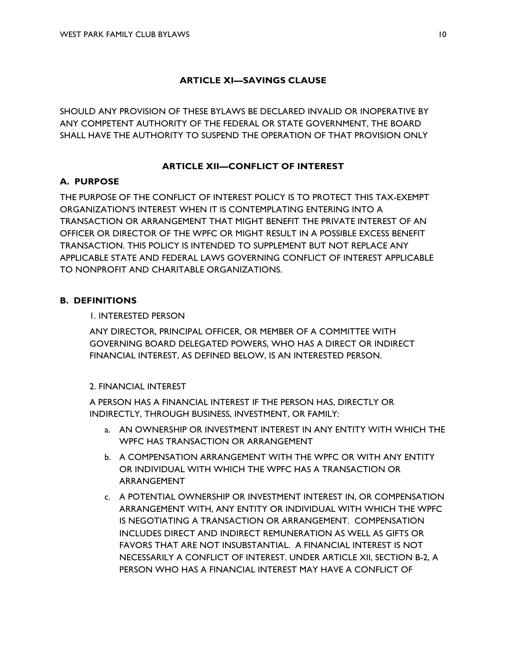## **ARTICLE XI—SAVINGS CLAUSE**

SHOULD ANY PROVISION OF THESE BYLAWS BE DECLARED INVALID OR INOPERATIVE BY ANY COMPETENT AUTHORITY OF THE FEDERAL OR STATE GOVERNMENT, THE BOARD SHALL HAVE THE AUTHORITY TO SUSPEND THE OPERATION OF THAT PROVISION ONLY

## **ARTICLE XII—CONFLICT OF INTEREST**

## **A. PURPOSE**

THE PURPOSE OF THE CONFLICT OF INTEREST POLICY IS TO PROTECT THIS TAX-EXEMPT ORGANIZATION'S INTEREST WHEN IT IS CONTEMPLATING ENTERING INTO A TRANSACTION OR ARRANGEMENT THAT MIGHT BENEFIT THE PRIVATE INTEREST OF AN OFFICER OR DIRECTOR OF THE WPFC OR MIGHT RESULT IN A POSSIBLE EXCESS BENEFIT TRANSACTION. THIS POLICY IS INTENDED TO SUPPLEMENT BUT NOT REPLACE ANY APPLICABLE STATE AND FEDERAL LAWS GOVERNING CONFLICT OF INTEREST APPLICABLE TO NONPROFIT AND CHARITABLE ORGANIZATIONS.

## **B. DEFINITIONS**

### 1. INTERESTED PERSON

ANY DIRECTOR, PRINCIPAL OFFICER, OR MEMBER OF A COMMITTEE WITH GOVERNING BOARD DELEGATED POWERS, WHO HAS A DIRECT OR INDIRECT FINANCIAL INTEREST, AS DEFINED BELOW, IS AN INTERESTED PERSON.

## 2. FINANCIAL INTEREST

A PERSON HAS A FINANCIAL INTEREST IF THE PERSON HAS, DIRECTLY OR INDIRECTLY, THROUGH BUSINESS, INVESTMENT, OR FAMILY:

- a. AN OWNERSHIP OR INVESTMENT INTEREST IN ANY ENTITY WITH WHICH THE WPFC HAS TRANSACTION OR ARRANGEMENT
- b. A COMPENSATION ARRANGEMENT WITH THE WPFC OR WITH ANY ENTITY OR INDIVIDUAL WITH WHICH THE WPFC HAS A TRANSACTION OR ARRANGEMENT
- c. A POTENTIAL OWNERSHIP OR INVESTMENT INTEREST IN, OR COMPENSATION ARRANGEMENT WITH, ANY ENTITY OR INDIVIDUAL WITH WHICH THE WPFC IS NEGOTIATING A TRANSACTION OR ARRANGEMENT. COMPENSATION INCLUDES DIRECT AND INDIRECT REMUNERATION AS WELL AS GIFTS OR FAVORS THAT ARE NOT INSUBSTANTIAL. A FINANCIAL INTEREST IS NOT NECESSARILY A CONFLICT OF INTEREST. UNDER ARTICLE XII, SECTION B-2, A PERSON WHO HAS A FINANCIAL INTEREST MAY HAVE A CONFLICT OF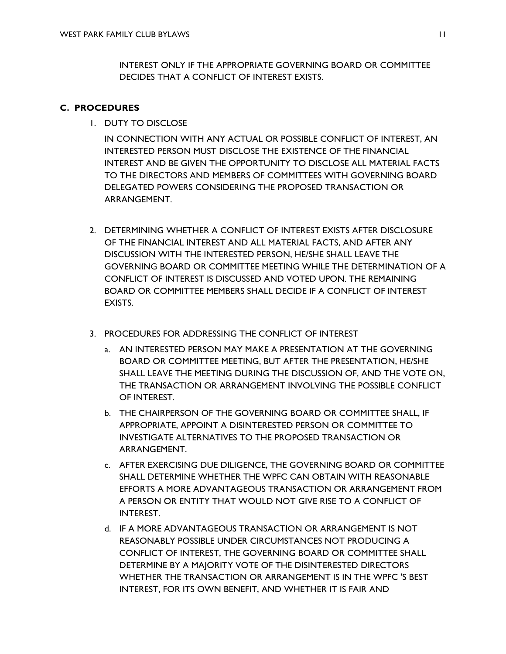INTEREST ONLY IF THE APPROPRIATE GOVERNING BOARD OR COMMITTEE DECIDES THAT A CONFLICT OF INTEREST EXISTS.

#### **C. PROCEDURES**

1. DUTY TO DISCLOSE

IN CONNECTION WITH ANY ACTUAL OR POSSIBLE CONFLICT OF INTEREST, AN INTERESTED PERSON MUST DISCLOSE THE EXISTENCE OF THE FINANCIAL INTEREST AND BE GIVEN THE OPPORTUNITY TO DISCLOSE ALL MATERIAL FACTS TO THE DIRECTORS AND MEMBERS OF COMMITTEES WITH GOVERNING BOARD DELEGATED POWERS CONSIDERING THE PROPOSED TRANSACTION OR ARRANGEMENT.

- 2. DETERMINING WHETHER A CONFLICT OF INTEREST EXISTS AFTER DISCLOSURE OF THE FINANCIAL INTEREST AND ALL MATERIAL FACTS, AND AFTER ANY DISCUSSION WITH THE INTERESTED PERSON, HE/SHE SHALL LEAVE THE GOVERNING BOARD OR COMMITTEE MEETING WHILE THE DETERMINATION OF A CONFLICT OF INTEREST IS DISCUSSED AND VOTED UPON. THE REMAINING BOARD OR COMMITTEE MEMBERS SHALL DECIDE IF A CONFLICT OF INTEREST EXISTS.
- 3. PROCEDURES FOR ADDRESSING THE CONFLICT OF INTEREST
	- a. AN INTERESTED PERSON MAY MAKE A PRESENTATION AT THE GOVERNING BOARD OR COMMITTEE MEETING, BUT AFTER THE PRESENTATION, HE/SHE SHALL LEAVE THE MEETING DURING THE DISCUSSION OF, AND THE VOTE ON, THE TRANSACTION OR ARRANGEMENT INVOLVING THE POSSIBLE CONFLICT OF INTEREST.
	- b. THE CHAIRPERSON OF THE GOVERNING BOARD OR COMMITTEE SHALL, IF APPROPRIATE, APPOINT A DISINTERESTED PERSON OR COMMITTEE TO INVESTIGATE ALTERNATIVES TO THE PROPOSED TRANSACTION OR ARRANGEMENT.
	- c. AFTER EXERCISING DUE DILIGENCE, THE GOVERNING BOARD OR COMMITTEE SHALL DETERMINE WHETHER THE WPFC CAN OBTAIN WITH REASONABLE EFFORTS A MORE ADVANTAGEOUS TRANSACTION OR ARRANGEMENT FROM A PERSON OR ENTITY THAT WOULD NOT GIVE RISE TO A CONFLICT OF INTEREST.
	- d. IF A MORE ADVANTAGEOUS TRANSACTION OR ARRANGEMENT IS NOT REASONABLY POSSIBLE UNDER CIRCUMSTANCES NOT PRODUCING A CONFLICT OF INTEREST, THE GOVERNING BOARD OR COMMITTEE SHALL DETERMINE BY A MAJORITY VOTE OF THE DISINTERESTED DIRECTORS WHETHER THE TRANSACTION OR ARRANGEMENT IS IN THE WPFC 'S BEST INTEREST, FOR ITS OWN BENEFIT, AND WHETHER IT IS FAIR AND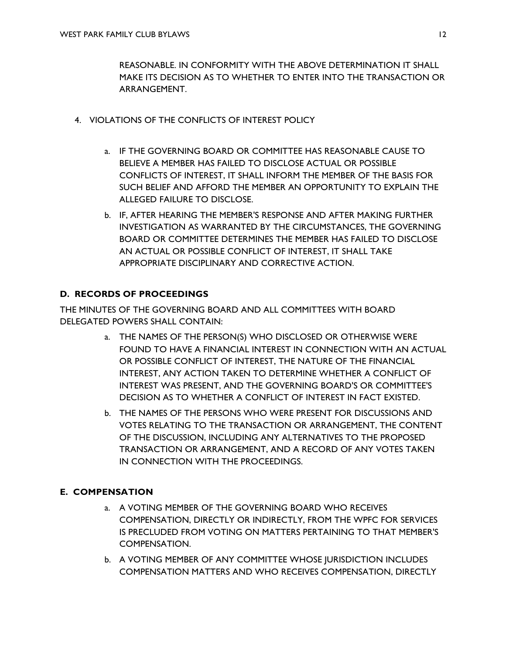REASONABLE. IN CONFORMITY WITH THE ABOVE DETERMINATION IT SHALL MAKE ITS DECISION AS TO WHETHER TO ENTER INTO THE TRANSACTION OR ARRANGEMENT.

- 4. VIOLATIONS OF THE CONFLICTS OF INTEREST POLICY
	- a. IF THE GOVERNING BOARD OR COMMITTEE HAS REASONABLE CAUSE TO BELIEVE A MEMBER HAS FAILED TO DISCLOSE ACTUAL OR POSSIBLE CONFLICTS OF INTEREST, IT SHALL INFORM THE MEMBER OF THE BASIS FOR SUCH BELIEF AND AFFORD THE MEMBER AN OPPORTUNITY TO EXPLAIN THE ALLEGED FAILURE TO DISCLOSE.
	- b. IF, AFTER HEARING THE MEMBER'S RESPONSE AND AFTER MAKING FURTHER INVESTIGATION AS WARRANTED BY THE CIRCUMSTANCES, THE GOVERNING BOARD OR COMMITTEE DETERMINES THE MEMBER HAS FAILED TO DISCLOSE AN ACTUAL OR POSSIBLE CONFLICT OF INTEREST, IT SHALL TAKE APPROPRIATE DISCIPLINARY AND CORRECTIVE ACTION.

## **D. RECORDS OF PROCEEDINGS**

THE MINUTES OF THE GOVERNING BOARD AND ALL COMMITTEES WITH BOARD DELEGATED POWERS SHALL CONTAIN:

- a. THE NAMES OF THE PERSON(S) WHO DISCLOSED OR OTHERWISE WERE FOUND TO HAVE A FINANCIAL INTEREST IN CONNECTION WITH AN ACTUAL OR POSSIBLE CONFLICT OF INTEREST, THE NATURE OF THE FINANCIAL INTEREST, ANY ACTION TAKEN TO DETERMINE WHETHER A CONFLICT OF INTEREST WAS PRESENT, AND THE GOVERNING BOARD'S OR COMMITTEE'S DECISION AS TO WHETHER A CONFLICT OF INTEREST IN FACT EXISTED.
- b. THE NAMES OF THE PERSONS WHO WERE PRESENT FOR DISCUSSIONS AND VOTES RELATING TO THE TRANSACTION OR ARRANGEMENT, THE CONTENT OF THE DISCUSSION, INCLUDING ANY ALTERNATIVES TO THE PROPOSED TRANSACTION OR ARRANGEMENT, AND A RECORD OF ANY VOTES TAKEN IN CONNECTION WITH THE PROCEEDINGS.

# **E. COMPENSATION**

- a. A VOTING MEMBER OF THE GOVERNING BOARD WHO RECEIVES COMPENSATION, DIRECTLY OR INDIRECTLY, FROM THE WPFC FOR SERVICES IS PRECLUDED FROM VOTING ON MATTERS PERTAINING TO THAT MEMBER'S COMPENSATION.
- b. A VOTING MEMBER OF ANY COMMITTEE WHOSE JURISDICTION INCLUDES COMPENSATION MATTERS AND WHO RECEIVES COMPENSATION, DIRECTLY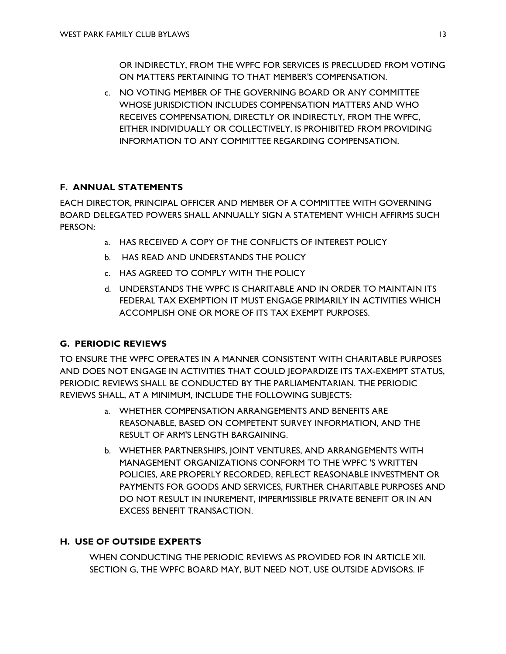OR INDIRECTLY, FROM THE WPFC FOR SERVICES IS PRECLUDED FROM VOTING ON MATTERS PERTAINING TO THAT MEMBER'S COMPENSATION.

c. NO VOTING MEMBER OF THE GOVERNING BOARD OR ANY COMMITTEE WHOSE JURISDICTION INCLUDES COMPENSATION MATTERS AND WHO RECEIVES COMPENSATION, DIRECTLY OR INDIRECTLY, FROM THE WPFC, EITHER INDIVIDUALLY OR COLLECTIVELY, IS PROHIBITED FROM PROVIDING INFORMATION TO ANY COMMITTEE REGARDING COMPENSATION.

# **F. ANNUAL STATEMENTS**

EACH DIRECTOR, PRINCIPAL OFFICER AND MEMBER OF A COMMITTEE WITH GOVERNING BOARD DELEGATED POWERS SHALL ANNUALLY SIGN A STATEMENT WHICH AFFIRMS SUCH PERSON:

- a. HAS RECEIVED A COPY OF THE CONFLICTS OF INTEREST POLICY
- b. HAS READ AND UNDERSTANDS THE POLICY
- c. HAS AGREED TO COMPLY WITH THE POLICY
- d. UNDERSTANDS THE WPFC IS CHARITABLE AND IN ORDER TO MAINTAIN ITS FEDERAL TAX EXEMPTION IT MUST ENGAGE PRIMARILY IN ACTIVITIES WHICH ACCOMPLISH ONE OR MORE OF ITS TAX EXEMPT PURPOSES.

# **G. PERIODIC REVIEWS**

TO ENSURE THE WPFC OPERATES IN A MANNER CONSISTENT WITH CHARITABLE PURPOSES AND DOES NOT ENGAGE IN ACTIVITIES THAT COULD JEOPARDIZE ITS TAX-EXEMPT STATUS, PERIODIC REVIEWS SHALL BE CONDUCTED BY THE PARLIAMENTARIAN. THE PERIODIC REVIEWS SHALL, AT A MINIMUM, INCLUDE THE FOLLOWING SUBJECTS:

- a. WHETHER COMPENSATION ARRANGEMENTS AND BENEFITS ARE REASONABLE, BASED ON COMPETENT SURVEY INFORMATION, AND THE RESULT OF ARM'S LENGTH BARGAINING.
- b. WHETHER PARTNERSHIPS, JOINT VENTURES, AND ARRANGEMENTS WITH MANAGEMENT ORGANIZATIONS CONFORM TO THE WPFC 'S WRITTEN POLICIES, ARE PROPERLY RECORDED, REFLECT REASONABLE INVESTMENT OR PAYMENTS FOR GOODS AND SERVICES, FURTHER CHARITABLE PURPOSES AND DO NOT RESULT IN INUREMENT, IMPERMISSIBLE PRIVATE BENEFIT OR IN AN EXCESS BENEFIT TRANSACTION.

# **H. USE OF OUTSIDE EXPERTS**

WHEN CONDUCTING THE PERIODIC REVIEWS AS PROVIDED FOR IN ARTICLE XII. SECTION G, THE WPFC BOARD MAY, BUT NEED NOT, USE OUTSIDE ADVISORS. IF